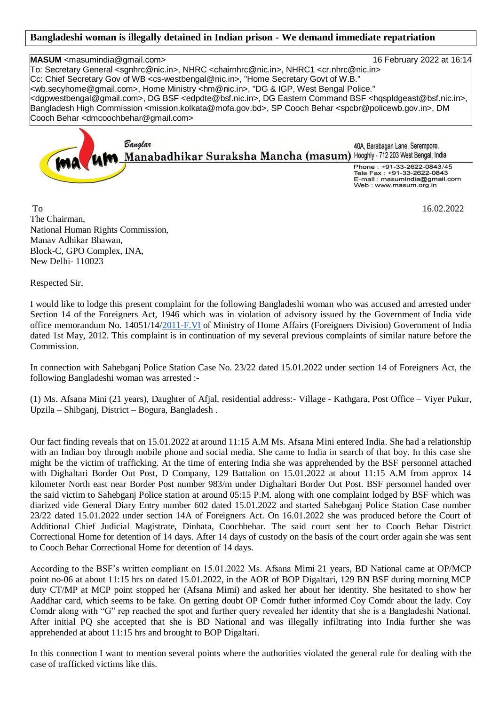## **Bangladeshi woman is illegally detained in Indian prison - We demand immediate repatriation**

**MASUM** <masumindia@gmail.com> 16 February 2022 at 16:14 To: Secretary General <sgnhrc@nic.in>, NHRC <chairnhrc@nic.in>, NHRC1 <cr.nhrc@nic.in> Cc: Chief Secretary Gov of WB <cs-westbengal@nic.in>, "Home Secretary Govt of W.B." <wb.secyhome@gmail.com>, Home Ministry <hm@nic.in>, "DG & IGP, West Bengal Police." <dgpwestbengal@gmail.com>, DG BSF <edpdte@bsf.nic.in>, DG Eastern Command BSF <hqspldgeast@bsf.nic.in>, Bangladesh High Commission <mission.kolkata@mofa.gov.bd>, SP Cooch Behar <spcbr@policewb.gov.in>, DM Cooch Behar <dmcoochbehar@gmail.com>

Banalar 40A. Barabagan Lane. Serempore. Manabadhikar Suraksha Mancha (masum) Hooghly - 712 203 West Bengal, India Phone: +91-33-2622-0843/45 Tele Fax: +91-33-2622-0843 E-mail: masumindia@gmail.com Web: www.masum.org.in

To 16.02.2022 The Chairman, National Human Rights Commission, Manav Adhikar Bhawan, Block-C, GPO Complex, INA, New Delhi- 110023

Respected Sir,

I would like to lodge this present complaint for the following Bangladeshi woman who was accused and arrested under Section 14 of the Foreigners Act, 1946 which was in violation of advisory issued by the Government of India vide office memorandum No. 14051/14[/2011-F.VI](http://2011-f.vi/) of Ministry of Home Affairs (Foreigners Division) Government of India dated 1st May, 2012. This complaint is in continuation of my several previous complaints of similar nature before the Commission.

In connection with Sahebganj Police Station Case No. 23/22 dated 15.01.2022 under section 14 of Foreigners Act, the following Bangladeshi woman was arrested :-

(1) Ms. Afsana Mini (21 years), Daughter of Afjal, residential address:- Village - Kathgara, Post Office – Viyer Pukur, Upzila – Shibganj, District – Bogura, Bangladesh .

Our fact finding reveals that on 15.01.2022 at around 11:15 A.M Ms. Afsana Mini entered India. She had a relationship with an Indian boy through mobile phone and social media. She came to India in search of that boy. In this case she might be the victim of trafficking. At the time of entering India she was apprehended by the BSF personnel attached with Dighaltari Border Out Post, D Company, 129 Battalion on 15.01.2022 at about 11:15 A.M from approx 14 kilometer North east near Border Post number 983/m under Dighaltari Border Out Post. BSF personnel handed over the said victim to Sahebganj Police station at around 05:15 P.M. along with one complaint lodged by BSF which was diarized vide General Diary Entry number 602 dated 15.01.2022 and started Sahebganj Police Station Case number 23/22 dated 15.01.2022 under section 14A of Foreigners Act. On 16.01.2022 she was produced before the Court of Additional Chief Judicial Magistrate, Dinhata, Coochbehar. The said court sent her to Cooch Behar District Correctional Home for detention of 14 days. After 14 days of custody on the basis of the court order again she was sent to Cooch Behar Correctional Home for detention of 14 days.

According to the BSF's written compliant on 15.01.2022 Ms. Afsana Mimi 21 years, BD National came at OP/MCP point no-06 at about 11:15 hrs on dated 15.01.2022, in the AOR of BOP Digaltari, 129 BN BSF during morning MCP duty CT/MP at MCP point stopped her (Afsana Mimi) and asked her about her identity. She hesitated to show her Aaddhar card, which seems to be fake. On getting doubt OP Comdr futher informed Coy Comdr about the lady. Coy Comdr along with "G" rep reached the spot and further query revealed her identity that she is a Bangladeshi National. After initial PQ she accepted that she is BD National and was illegally infiltrating into India further she was apprehended at about 11:15 hrs and brought to BOP Digaltari.

In this connection I want to mention several points where the authorities violated the general rule for dealing with the case of trafficked victims like this.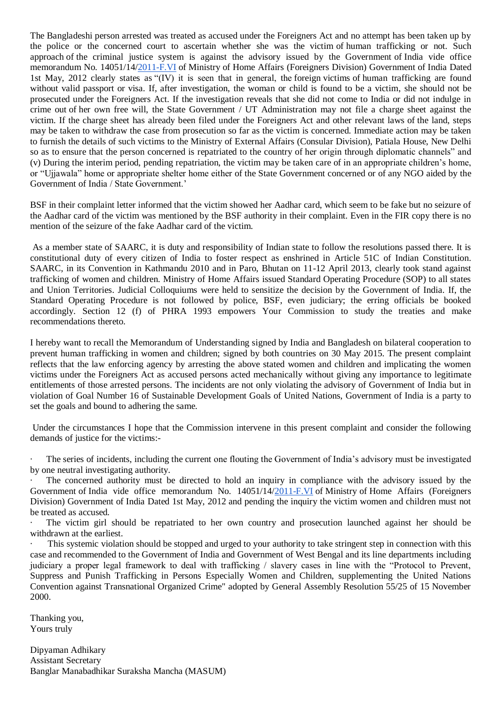The Bangladeshi person arrested was treated as accused under the Foreigners Act and no attempt has been taken up by the police or the concerned court to ascertain whether she was the victim of human trafficking or not. Such approach of the criminal justice system is against the advisory issued by the Government of India vide office memorandum No. 14051/14[/2011-F.VI](http://2011-f.vi/) of Ministry of Home Affairs (Foreigners Division) Government of India Dated 1st May, 2012 clearly states as "(IV) it is seen that in general, the foreign victims of human trafficking are found without valid passport or visa. If, after investigation, the woman or child is found to be a victim, she should not be prosecuted under the Foreigners Act. If the investigation reveals that she did not come to India or did not indulge in crime out of her own free will, the State Government / UT Administration may not file a charge sheet against the victim. If the charge sheet has already been filed under the Foreigners Act and other relevant laws of the land, steps may be taken to withdraw the case from prosecution so far as the victim is concerned. Immediate action may be taken to furnish the details of such victims to the Ministry of External Affairs (Consular Division), Patiala House, New Delhi so as to ensure that the person concerned is repatriated to the country of her origin through diplomatic channels" and (v) During the interim period, pending repatriation, the victim may be taken care of in an appropriate children's home, or "Ujjawala" home or appropriate shelter home either of the State Government concerned or of any NGO aided by the Government of India / State Government.'

BSF in their complaint letter informed that the victim showed her Aadhar card, which seem to be fake but no seizure of the Aadhar card of the victim was mentioned by the BSF authority in their complaint. Even in the FIR copy there is no mention of the seizure of the fake Aadhar card of the victim.

As a member state of SAARC, it is duty and responsibility of Indian state to follow the resolutions passed there. It is constitutional duty of every citizen of India to foster respect as enshrined in Article 51C of Indian Constitution. SAARC, in its Convention in Kathmandu 2010 and in Paro, Bhutan on 11-12 April 2013, clearly took stand against trafficking of women and children. Ministry of Home Affairs issued Standard Operating Procedure (SOP) to all states and Union Territories. Judicial Colloquiums were held to sensitize the decision by the Government of India. If, the Standard Operating Procedure is not followed by police, BSF, even judiciary; the erring officials be booked accordingly. Section 12 (f) of PHRA 1993 empowers Your Commission to study the treaties and make recommendations thereto.

I hereby want to recall the Memorandum of Understanding signed by India and Bangladesh on bilateral cooperation to prevent human trafficking in women and children; signed by both countries on 30 May 2015. The present complaint reflects that the law enforcing agency by arresting the above stated women and children and implicating the women victims under the Foreigners Act as accused persons acted mechanically without giving any importance to legitimate entitlements of those arrested persons. The incidents are not only violating the advisory of Government of India but in violation of Goal Number 16 of Sustainable Development Goals of United Nations, Government of India is a party to set the goals and bound to adhering the same.

Under the circumstances I hope that the Commission intervene in this present complaint and consider the following demands of justice for the victims:-

The series of incidents, including the current one flouting the Government of India's advisory must be investigated by one neutral investigating authority.

The concerned authority must be directed to hold an inquiry in compliance with the advisory issued by the Government of India vide office memorandum No. 14051/14[/2011-F.VI](http://2011-f.vi/) of Ministry of Home Affairs (Foreigners Division) Government of India Dated 1st May, 2012 and pending the inquiry the victim women and children must not be treated as accused.

The victim girl should be repatriated to her own country and prosecution launched against her should be withdrawn at the earliest.

This systemic violation should be stopped and urged to your authority to take stringent step in connection with this case and recommended to the Government of India and Government of West Bengal and its line departments including judiciary a proper legal framework to deal with trafficking / slavery cases in line with the "Protocol to Prevent, Suppress and Punish Trafficking in Persons Especially Women and Children, supplementing the United Nations Convention against Transnational Organized Crime" adopted by General Assembly Resolution 55/25 of 15 November 2000.

Thanking you, Yours truly

Dipyaman Adhikary Assistant Secretary Banglar Manabadhikar Suraksha Mancha (MASUM)